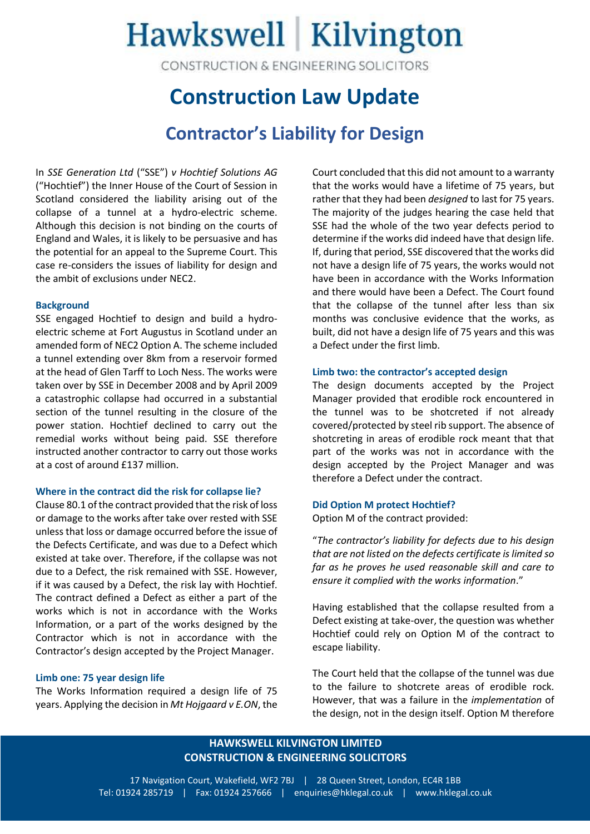# Hawkswell Kilvington

CONSTRUCTION & ENGINEERING SOLICITORS

### **Construction Law Update**

### **Contractor's Liability for Design**

In *SSE Generation Ltd* ("SSE") *v Hochtief Solutions AG* ("Hochtief") the Inner House of the Court of Session in Scotland considered the liability arising out of the collapse of a tunnel at a hydro-electric scheme. Although this decision is not binding on the courts of England and Wales, it is likely to be persuasive and has the potential for an appeal to the Supreme Court. This case re-considers the issues of liability for design and the ambit of exclusions under NEC2.

#### **Background**

SSE engaged Hochtief to design and build a hydroelectric scheme at Fort Augustus in Scotland under an amended form of NEC2 Option A. The scheme included a tunnel extending over 8km from a reservoir formed at the head of Glen Tarff to Loch Ness. The works were taken over by SSE in December 2008 and by April 2009 a catastrophic collapse had occurred in a substantial section of the tunnel resulting in the closure of the power station. Hochtief declined to carry out the remedial works without being paid. SSE therefore instructed another contractor to carry out those works at a cost of around £137 million.

#### **Where in the contract did the risk for collapse lie?**

Clause 80.1 of the contract provided that the risk of loss or damage to the works after take over rested with SSE unless that loss or damage occurred before the issue of the Defects Certificate, and was due to a Defect which existed at take over. Therefore, if the collapse was not due to a Defect, the risk remained with SSE. However, if it was caused by a Defect, the risk lay with Hochtief. The contract defined a Defect as either a part of the works which is not in accordance with the Works Information, or a part of the works designed by the Contractor which is not in accordance with the Contractor's design accepted by the Project Manager.

#### **Limb one: 75 year design life**

The Works Information required a design life of 75 years. Applying the decision in *Mt Hojgaard v E.ON*, the Court concluded that this did not amount to a warranty that the works would have a lifetime of 75 years, but rather that they had been *designed* to last for 75 years. The majority of the judges hearing the case held that SSE had the whole of the two year defects period to determine if the works did indeed have that design life. If, during that period, SSE discovered that the works did not have a design life of 75 years, the works would not have been in accordance with the Works Information and there would have been a Defect. The Court found that the collapse of the tunnel after less than six months was conclusive evidence that the works, as built, did not have a design life of 75 years and this was a Defect under the first limb.

#### **Limb two: the contractor's accepted design**

The design documents accepted by the Project Manager provided that erodible rock encountered in the tunnel was to be shotcreted if not already covered/protected by steel rib support. The absence of shotcreting in areas of erodible rock meant that that part of the works was not in accordance with the design accepted by the Project Manager and was therefore a Defect under the contract.

#### **Did Option M protect Hochtief?**

Option M of the contract provided:

"*The contractor's liability for defects due to his design that are not listed on the defects certificate is limited so far as he proves he used reasonable skill and care to ensure it complied with the works information*."

Having established that the collapse resulted from a Defect existing at take-over, the question was whether Hochtief could rely on Option M of the contract to escape liability.

The Court held that the collapse of the tunnel was due to the failure to shotcrete areas of erodible rock. However, that was a failure in the *implementation* of the design, not in the design itself. Option M therefore

#### **HAWKSWELL KILVINGTON LIMITED CONSTRUCTION & ENGINEERING SOLICITORS**